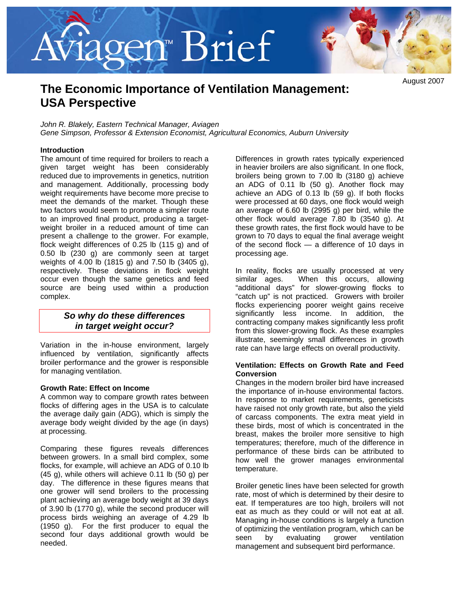# *r*iagen™ Brief



August 2007

# **The Economic Importance of Ventilation Management: USA Perspective**

*John R. Blakely, Eastern Technical Manager, Aviagen Gene Simpson, Professor & Extension Economist, Agricultural Economics, Auburn University* 

### **Introduction**

The amount of time required for broilers to reach a given target weight has been considerably reduced due to improvements in genetics, nutrition and management. Additionally, processing body weight requirements have become more precise to meet the demands of the market. Though these two factors would seem to promote a simpler route to an improved final product, producing a targetweight broiler in a reduced amount of time can present a challenge to the grower. For example, flock weight differences of 0.25 lb (115 g) and of 0.50 lb (230 g) are commonly seen at target weights of 4.00 lb (1815 g) and 7.50 lb (3405 g), respectively. These deviations in flock weight occur even though the same genetics and feed source are being used within a production complex.

### *So why do these differences in target weight occur?*

Variation in the in-house environment, largely influenced by ventilation, significantly affects broiler performance and the grower is responsible for managing ventilation.

### **Growth Rate: Effect on Income**

A common way to compare growth rates between flocks of differing ages in the USA is to calculate the average daily gain (ADG), which is simply the average body weight divided by the age (in days) at processing.

Comparing these figures reveals differences between growers. In a small bird complex, some flocks, for example, will achieve an ADG of 0.10 lb (45 g), while others will achieve 0.11 lb (50 g) per day. The difference in these figures means that one grower will send broilers to the processing plant achieving an average body weight at 39 days of 3.90 lb (1770 g), while the second producer will process birds weighing an average of 4.29 lb (1950 g). For the first producer to equal the second four days additional growth would be needed.

Differences in growth rates typically experienced in heavier broilers are also significant. In one flock, broilers being grown to 7.00 lb (3180 g) achieve an ADG of 0.11 lb (50 g). Another flock may achieve an ADG of 0.13 lb (59 g). If both flocks were processed at 60 days, one flock would weigh an average of 6.60 lb (2995 g) per bird, while the other flock would average 7.80 lb (3540 g). At these growth rates, the first flock would have to be grown to 70 days to equal the final average weight of the second flock — a difference of 10 days in processing age.

In reality, flocks are usually processed at very similar ages. When this occurs, allowing "additional days" for slower-growing flocks to "catch up" is not practiced. Growers with broiler flocks experiencing poorer weight gains receive significantly less income. In addition, the contracting company makes significantly less profit from this slower-growing flock. As these examples illustrate, seemingly small differences in growth rate can have large effects on overall productivity.

### **Ventilation: Effects on Growth Rate and Feed Conversion**

Changes in the modern broiler bird have increased the importance of in-house environmental factors. In response to market requirements, geneticists have raised not only growth rate, but also the yield of carcass components. The extra meat yield in these birds, most of which is concentrated in the breast, makes the broiler more sensitive to high temperatures; therefore, much of the difference in performance of these birds can be attributed to how well the grower manages environmental temperature.

Broiler genetic lines have been selected for growth rate, most of which is determined by their desire to eat. If temperatures are too high, broilers will not eat as much as they could or will not eat at all. Managing in-house conditions is largely a function of optimizing the ventilation program, which can be seen by evaluating grower ventilation management and subsequent bird performance.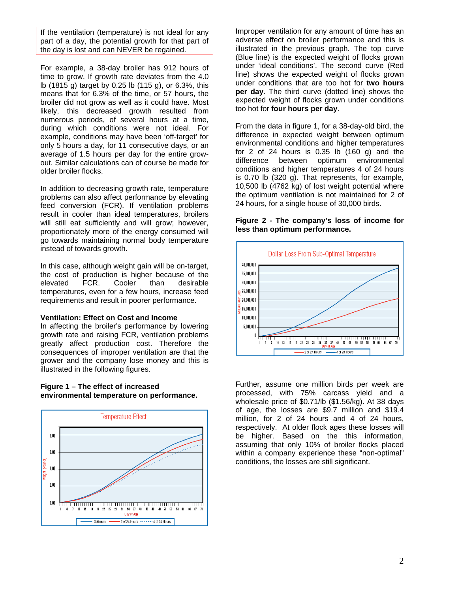If the ventilation (temperature) is not ideal for any part of a day, the potential growth for that part of the day is lost and can NEVER be regained.

For example, a 38-day broiler has 912 hours of time to grow. If growth rate deviates from the 4.0 lb (1815 g) target by 0.25 lb (115 g), or 6.3%, this means that for 6.3% of the time, or 57 hours, the broiler did not grow as well as it could have. Most likely, this decreased growth resulted from numerous periods, of several hours at a time, during which conditions were not ideal. For example, conditions may have been 'off-target' for only 5 hours a day, for 11 consecutive days, or an average of 1.5 hours per day for the entire growout. Similar calculations can of course be made for older broiler flocks.

In addition to decreasing growth rate, temperature problems can also affect performance by elevating feed conversion (FCR). If ventilation problems result in cooler than ideal temperatures, broilers will still eat sufficiently and will grow; however, proportionately more of the energy consumed will go towards maintaining normal body temperature instead of towards growth.

In this case, although weight gain will be on-target, the cost of production is higher because of the elevated FCR. Cooler than desirable temperatures, even for a few hours, increase feed requirements and result in poorer performance.

### **Ventilation: Effect on Cost and Income**

In affecting the broiler's performance by lowering growth rate and raising FCR, ventilation problems greatly affect production cost. Therefore the consequences of improper ventilation are that the grower and the company lose money and this is illustrated in the following figures.

### **Figure 1 – The effect of increased environmental temperature on performance.**



Improper ventilation for any amount of time has an adverse effect on broiler performance and this is illustrated in the previous graph. The top curve (Blue line) is the expected weight of flocks grown under 'ideal conditions'. The second curve (Red line) shows the expected weight of flocks grown under conditions that are too hot for **two hours per day**. The third curve (dotted line) shows the expected weight of flocks grown under conditions too hot for **four hours per day**.

From the data in figure 1, for a 38-day-old bird, the difference in expected weight between optimum environmental conditions and higher temperatures for 2 of 24 hours is  $0.35$  lb  $(160 \text{ g})$  and the difference between optimum environmental conditions and higher temperatures 4 of 24 hours is 0.70 lb (320 g). That represents, for example, 10,500 lb (4762 kg) of lost weight potential where the optimum ventilation is not maintained for 2 of 24 hours, for a single house of 30,000 birds.

### **Figure 2 - The company's loss of income for less than optimum performance.**



Further, assume one million birds per week are processed, with 75% carcass yield and a wholesale price of \$0.71/lb (\$1.56/kg). At 38 days of age, the losses are \$9.7 million and \$19.4 million, for 2 of 24 hours and 4 of 24 hours, respectively. At older flock ages these losses will be higher. Based on the this information, assuming that only 10% of broiler flocks placed within a company experience these "non-optimal" conditions, the losses are still significant.